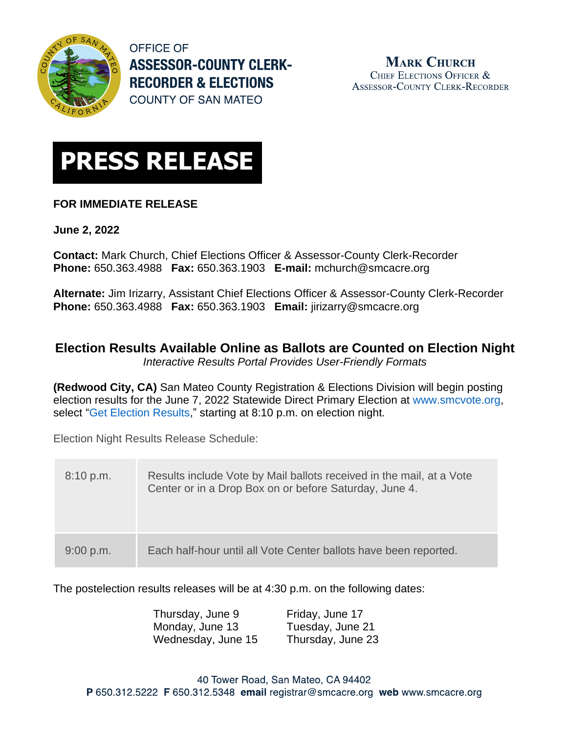

**OFFICE OF ASSESSOR-COUNTY CLERK-RECORDER & ELECTIONS COUNTY OF SAN MATEO** 



## **FOR IMMEDIATE RELEASE**

**June 2, 2022**

**Contact:** Mark Church, Chief Elections Officer & Assessor-County Clerk-Recorder **Phone:** 650.363.4988 **Fax:** 650.363.1903 **E-mail:** [mchurch@smcacre.org](mailto:mchurch@smcacre.org)

**Alternate:** Jim Irizarry, Assistant Chief Elections Officer & Assessor-County Clerk-Recorder **Phone:** 650.363.4988 **Fax:** 650.363.1903 **Email:** [jirizarry@smcacre.org](mailto:jirizarry@smcacre.org)

## **Election Results Available Online as Ballots are Counted on Election Night**

*Interactive Results Portal Provides User-Friendly Formats*

**(Redwood City, CA)** San Mateo County Registration & Elections Division will begin posting election results for the June 7, 2022 Statewide Direct Primary Election at [www.smcvote.org,](https://www.smcacre.org/smcvote) select ["Get Election Results,](http://www.smcacre.org/elections/june-7-2022-election-results)" starting at 8:10 p.m. on election night.

Election Night Results Release Schedule:

| 8:10 p.m. | Results include Vote by Mail ballots received in the mail, at a Vote<br>Center or in a Drop Box on or before Saturday, June 4. |
|-----------|--------------------------------------------------------------------------------------------------------------------------------|
| 9:00 p.m. | Each half-hour until all Vote Center ballots have been reported.                                                               |

The postelection results releases will be at 4:30 p.m. on the following dates:

| Thursday, June 9   | Friday, June 17   |
|--------------------|-------------------|
| Monday, June 13    | Tuesday, June 21  |
| Wednesday, June 15 | Thursday, June 23 |